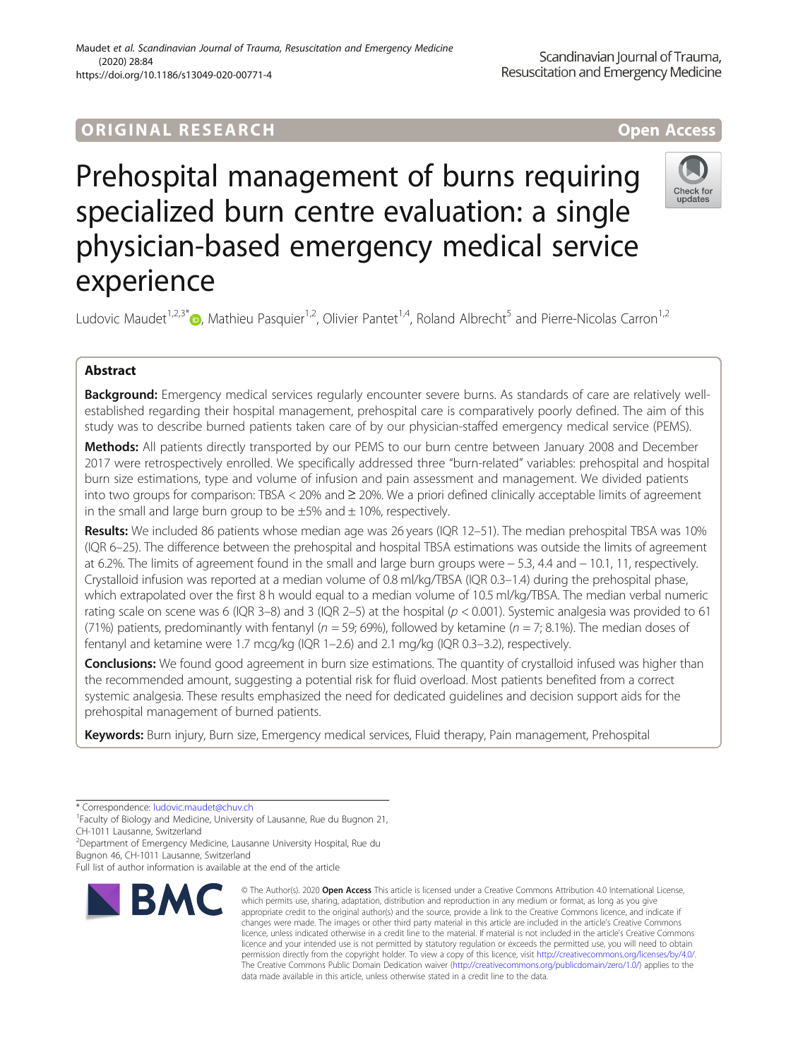# ORIGINA L R E S EA RCH Open Access

Check for

# Prehospital management of burns requiring specialized burn centre evaluation: a single physician-based emergency medical service experience

Ludovic Maudet<sup>1,2,3\*</sup>  $\bullet$ , Mathieu Pasquier<sup>1,2</sup>, Olivier Pantet<sup>1,4</sup>, Roland Albrecht<sup>5</sup> and Pierre-Nicolas Carron<sup>1,2</sup>

## Abstract

Background: Emergency medical services regularly encounter severe burns. As standards of care are relatively wellestablished regarding their hospital management, prehospital care is comparatively poorly defined. The aim of this study was to describe burned patients taken care of by our physician-staffed emergency medical service (PEMS).

Methods: All patients directly transported by our PEMS to our burn centre between January 2008 and December 2017 were retrospectively enrolled. We specifically addressed three "burn-related" variables: prehospital and hospital burn size estimations, type and volume of infusion and pain assessment and management. We divided patients into two groups for comparison: TBSA < 20% and ≥ 20%. We a priori defined clinically acceptable limits of agreement in the small and large burn group to be  $\pm 5\%$  and  $\pm 10\%$ , respectively.

Results: We included 86 patients whose median age was 26 years (IQR 12-51). The median prehospital TBSA was 10% (IQR 6–25). The difference between the prehospital and hospital TBSA estimations was outside the limits of agreement at 6.2%. The limits of agreement found in the small and large burn groups were − 5.3, 4.4 and − 10.1, 11, respectively. Crystalloid infusion was reported at a median volume of 0.8 ml/kg/TBSA (IQR 0.3–1.4) during the prehospital phase, which extrapolated over the first 8 h would equal to a median volume of 10.5 ml/kg/TBSA. The median verbal numeric rating scale on scene was 6 (IQR 3–8) and 3 (IQR 2–5) at the hospital ( $p < 0.001$ ). Systemic analgesia was provided to 61 (71%) patients, predominantly with fentanyl ( $n = 59$ ; 69%), followed by ketamine ( $n = 7$ ; 8.1%). The median doses of fentanyl and ketamine were 1.7 mcg/kg (IQR 1–2.6) and 2.1 mg/kg (IQR 0.3–3.2), respectively.

Conclusions: We found good agreement in burn size estimations. The quantity of crystalloid infused was higher than the recommended amount, suggesting a potential risk for fluid overload. Most patients benefited from a correct systemic analgesia. These results emphasized the need for dedicated guidelines and decision support aids for the prehospital management of burned patients.

Keywords: Burn injury, Burn size, Emergency medical services, Fluid therapy, Pain management, Prehospital

\* Correspondence: [ludovic.maudet@chuv.ch](mailto:ludovic.maudet@chuv.ch) <sup>1</sup>

<sup>1</sup> Faculty of Biology and Medicine, University of Lausanne, Rue du Bugnon 21, CH-1011 Lausanne, Switzerland

<sup>2</sup>Department of Emergency Medicine, Lausanne University Hospital, Rue du

Bugnon 46, CH-1011 Lausanne, Switzerland

Full list of author information is available at the end of the article



<sup>©</sup> The Author(s), 2020 **Open Access** This article is licensed under a Creative Commons Attribution 4.0 International License, which permits use, sharing, adaptation, distribution and reproduction in any medium or format, as long as you give appropriate credit to the original author(s) and the source, provide a link to the Creative Commons licence, and indicate if changes were made. The images or other third party material in this article are included in the article's Creative Commons licence, unless indicated otherwise in a credit line to the material. If material is not included in the article's Creative Commons licence and your intended use is not permitted by statutory regulation or exceeds the permitted use, you will need to obtain permission directly from the copyright holder. To view a copy of this licence, visit [http://creativecommons.org/licenses/by/4.0/.](http://creativecommons.org/licenses/by/4.0/) The Creative Commons Public Domain Dedication waiver [\(http://creativecommons.org/publicdomain/zero/1.0/](http://creativecommons.org/publicdomain/zero/1.0/)) applies to the data made available in this article, unless otherwise stated in a credit line to the data.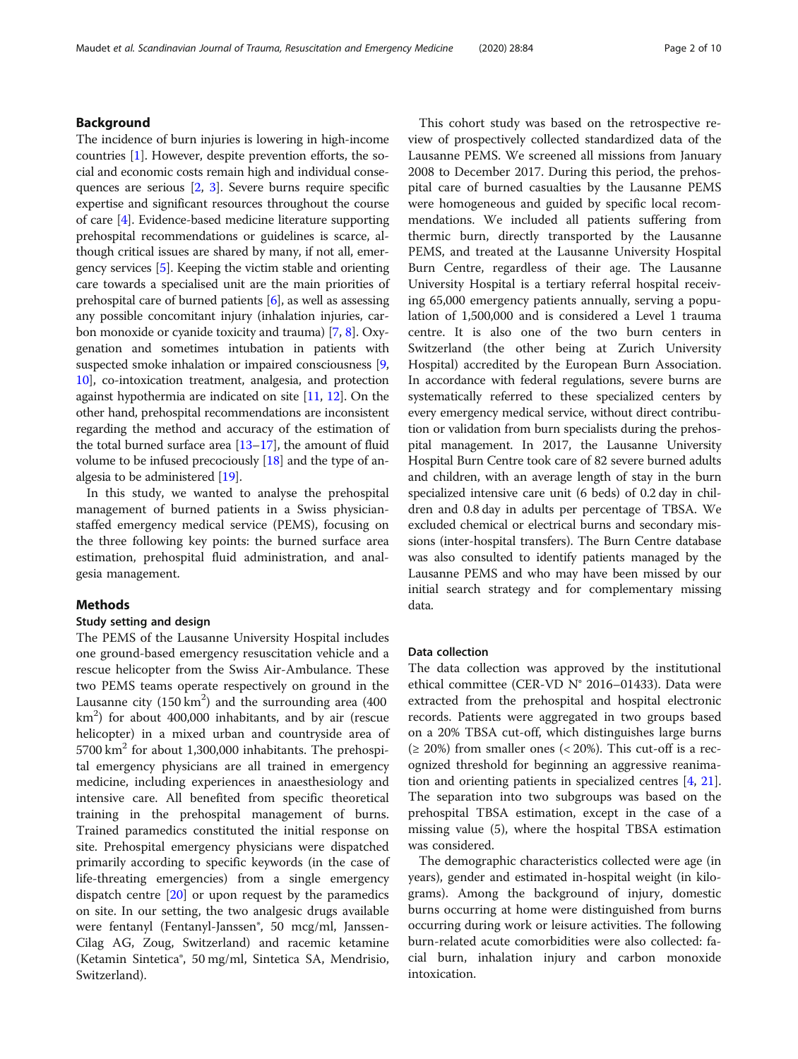#### Background

The incidence of burn injuries is lowering in high-income countries [\[1\]](#page-8-0). However, despite prevention efforts, the social and economic costs remain high and individual consequences are serious [\[2](#page-8-0), [3](#page-8-0)]. Severe burns require specific expertise and significant resources throughout the course of care [\[4](#page-8-0)]. Evidence-based medicine literature supporting prehospital recommendations or guidelines is scarce, although critical issues are shared by many, if not all, emergency services [\[5](#page-8-0)]. Keeping the victim stable and orienting care towards a specialised unit are the main priorities of prehospital care of burned patients [\[6\]](#page-8-0), as well as assessing any possible concomitant injury (inhalation injuries, carbon monoxide or cyanide toxicity and trauma) [\[7](#page-8-0), [8\]](#page-8-0). Oxygenation and sometimes intubation in patients with suspected smoke inhalation or impaired consciousness [[9](#page-8-0), [10](#page-8-0)], co-intoxication treatment, analgesia, and protection against hypothermia are indicated on site [\[11,](#page-8-0) [12\]](#page-8-0). On the other hand, prehospital recommendations are inconsistent regarding the method and accuracy of the estimation of the total burned surface area [[13](#page-8-0)–[17\]](#page-8-0), the amount of fluid volume to be infused precociously  $[18]$  and the type of analgesia to be administered [[19](#page-8-0)].

In this study, we wanted to analyse the prehospital management of burned patients in a Swiss physicianstaffed emergency medical service (PEMS), focusing on the three following key points: the burned surface area estimation, prehospital fluid administration, and analgesia management.

### Methods

#### Study setting and design

The PEMS of the Lausanne University Hospital includes one ground-based emergency resuscitation vehicle and a rescue helicopter from the Swiss Air-Ambulance. These two PEMS teams operate respectively on ground in the Lausanne city  $(150 \text{ km}^2)$  and the surrounding area  $(400$  $km<sup>2</sup>$ ) for about 400,000 inhabitants, and by air (rescue helicopter) in a mixed urban and countryside area of  $5700 \text{ km}^2$  for about 1,300,000 inhabitants. The prehospital emergency physicians are all trained in emergency medicine, including experiences in anaesthesiology and intensive care. All benefited from specific theoretical training in the prehospital management of burns. Trained paramedics constituted the initial response on site. Prehospital emergency physicians were dispatched primarily according to specific keywords (in the case of life-threating emergencies) from a single emergency dispatch centre [[20\]](#page-8-0) or upon request by the paramedics on site. In our setting, the two analgesic drugs available were fentanyl (Fentanyl-Janssen<sup>®</sup>, 50 mcg/ml, Janssen-Cilag AG, Zoug, Switzerland) and racemic ketamine (Ketamin Sintetica®, 50 mg/ml, Sintetica SA, Mendrisio, Switzerland).

This cohort study was based on the retrospective review of prospectively collected standardized data of the Lausanne PEMS. We screened all missions from January 2008 to December 2017. During this period, the prehospital care of burned casualties by the Lausanne PEMS were homogeneous and guided by specific local recommendations. We included all patients suffering from thermic burn, directly transported by the Lausanne PEMS, and treated at the Lausanne University Hospital Burn Centre, regardless of their age. The Lausanne University Hospital is a tertiary referral hospital receiving 65,000 emergency patients annually, serving a population of 1,500,000 and is considered a Level 1 trauma centre. It is also one of the two burn centers in Switzerland (the other being at Zurich University Hospital) accredited by the European Burn Association. In accordance with federal regulations, severe burns are systematically referred to these specialized centers by every emergency medical service, without direct contribution or validation from burn specialists during the prehospital management. In 2017, the Lausanne University Hospital Burn Centre took care of 82 severe burned adults and children, with an average length of stay in the burn specialized intensive care unit (6 beds) of 0.2 day in children and 0.8 day in adults per percentage of TBSA. We excluded chemical or electrical burns and secondary missions (inter-hospital transfers). The Burn Centre database was also consulted to identify patients managed by the Lausanne PEMS and who may have been missed by our initial search strategy and for complementary missing data.

#### Data collection

The data collection was approved by the institutional ethical committee (CER-VD N° 2016–01433). Data were extracted from the prehospital and hospital electronic records. Patients were aggregated in two groups based on a 20% TBSA cut-off, which distinguishes large burns  $( \geq 20\%)$  from smaller ones  $( $20\%)$ . This cut-off is a rec$ ognized threshold for beginning an aggressive reanimation and orienting patients in specialized centres [[4,](#page-8-0) [21](#page-8-0)]. The separation into two subgroups was based on the prehospital TBSA estimation, except in the case of a missing value (5), where the hospital TBSA estimation was considered.

The demographic characteristics collected were age (in years), gender and estimated in-hospital weight (in kilograms). Among the background of injury, domestic burns occurring at home were distinguished from burns occurring during work or leisure activities. The following burn-related acute comorbidities were also collected: facial burn, inhalation injury and carbon monoxide intoxication.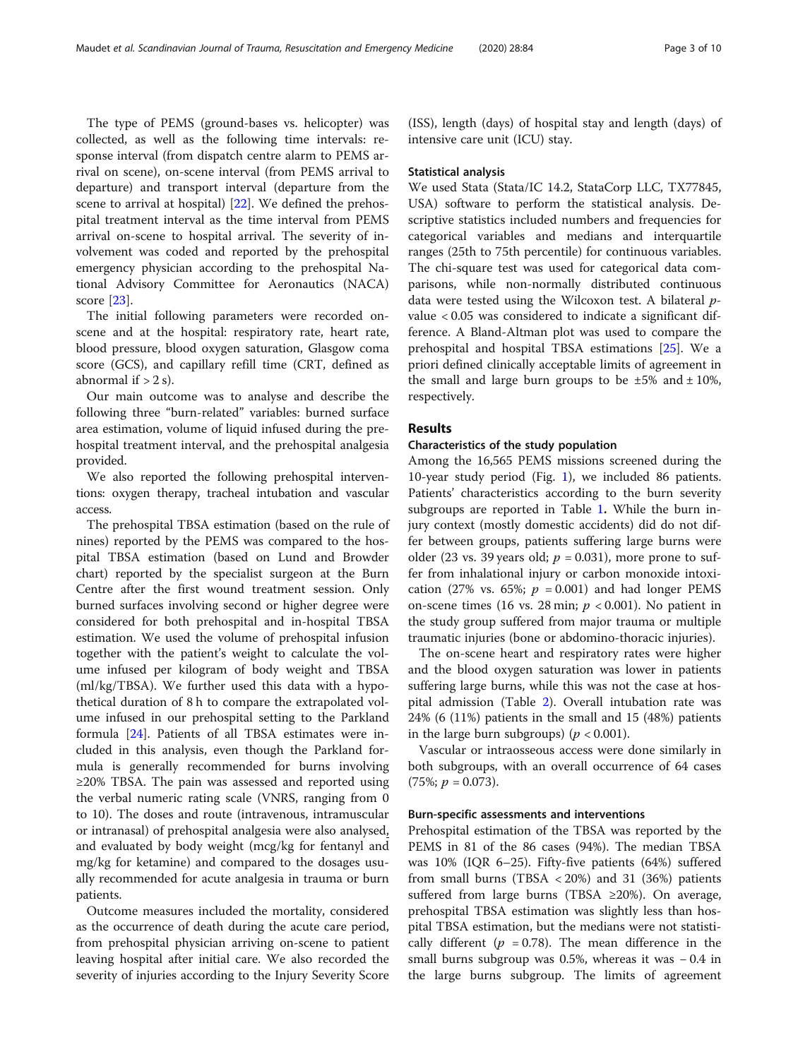The type of PEMS (ground-bases vs. helicopter) was collected, as well as the following time intervals: response interval (from dispatch centre alarm to PEMS arrival on scene), on-scene interval (from PEMS arrival to departure) and transport interval (departure from the scene to arrival at hospital) [[22](#page-8-0)]. We defined the prehospital treatment interval as the time interval from PEMS arrival on-scene to hospital arrival. The severity of involvement was coded and reported by the prehospital emergency physician according to the prehospital National Advisory Committee for Aeronautics (NACA) score [\[23\]](#page-8-0).

The initial following parameters were recorded onscene and at the hospital: respiratory rate, heart rate, blood pressure, blood oxygen saturation, Glasgow coma score (GCS), and capillary refill time (CRT, defined as abnormal if  $> 2$  s).

Our main outcome was to analyse and describe the following three "burn-related" variables: burned surface area estimation, volume of liquid infused during the prehospital treatment interval, and the prehospital analgesia provided.

We also reported the following prehospital interventions: oxygen therapy, tracheal intubation and vascular access.

The prehospital TBSA estimation (based on the rule of nines) reported by the PEMS was compared to the hospital TBSA estimation (based on Lund and Browder chart) reported by the specialist surgeon at the Burn Centre after the first wound treatment session. Only burned surfaces involving second or higher degree were considered for both prehospital and in-hospital TBSA estimation. We used the volume of prehospital infusion together with the patient's weight to calculate the volume infused per kilogram of body weight and TBSA (ml/kg/TBSA). We further used this data with a hypothetical duration of 8 h to compare the extrapolated volume infused in our prehospital setting to the Parkland formula [\[24\]](#page-9-0). Patients of all TBSA estimates were included in this analysis, even though the Parkland formula is generally recommended for burns involving ≥20% TBSA. The pain was assessed and reported using the verbal numeric rating scale (VNRS, ranging from 0 to 10). The doses and route (intravenous, intramuscular or intranasal) of prehospital analgesia were also analysed, and evaluated by body weight (mcg/kg for fentanyl and mg/kg for ketamine) and compared to the dosages usually recommended for acute analgesia in trauma or burn patients.

Outcome measures included the mortality, considered as the occurrence of death during the acute care period, from prehospital physician arriving on-scene to patient leaving hospital after initial care. We also recorded the severity of injuries according to the Injury Severity Score

(ISS), length (days) of hospital stay and length (days) of intensive care unit (ICU) stay.

#### Statistical analysis

We used Stata (Stata/IC 14.2, StataCorp LLC, TX77845, USA) software to perform the statistical analysis. Descriptive statistics included numbers and frequencies for categorical variables and medians and interquartile ranges (25th to 75th percentile) for continuous variables. The chi-square test was used for categorical data comparisons, while non-normally distributed continuous data were tested using the Wilcoxon test. A bilateral pvalue < 0.05 was considered to indicate a significant difference. A Bland-Altman plot was used to compare the prehospital and hospital TBSA estimations [\[25\]](#page-9-0). We a priori defined clinically acceptable limits of agreement in the small and large burn groups to be  $\pm 5\%$  and  $\pm 10\%$ , respectively.

#### **Results**

#### Characteristics of the study population

Among the 16,565 PEMS missions screened during the 10-year study period (Fig. [1](#page-3-0)), we included 86 patients. Patients' characteristics according to the burn severity subgroups are reported in Table [1](#page-4-0). While the burn injury context (mostly domestic accidents) did do not differ between groups, patients suffering large burns were older (23 vs. 39 years old;  $p = 0.031$ ), more prone to suffer from inhalational injury or carbon monoxide intoxication (27% vs. 65%;  $p = 0.001$ ) and had longer PEMS on-scene times (16 vs. 28 min;  $p < 0.001$ ). No patient in the study group suffered from major trauma or multiple traumatic injuries (bone or abdomino-thoracic injuries).

The on-scene heart and respiratory rates were higher and the blood oxygen saturation was lower in patients suffering large burns, while this was not the case at hospital admission (Table [2](#page-4-0)). Overall intubation rate was 24% (6 (11%) patients in the small and 15 (48%) patients in the large burn subgroups) ( $p < 0.001$ ).

Vascular or intraosseous access were done similarly in both subgroups, with an overall occurrence of 64 cases  $(75\%; p = 0.073).$ 

#### Burn-specific assessments and interventions

Prehospital estimation of the TBSA was reported by the PEMS in 81 of the 86 cases (94%). The median TBSA was 10% (IQR 6–25). Fifty-five patients (64%) suffered from small burns (TBSA  $\langle$  20%) and 31 (36%) patients suffered from large burns (TBSA ≥20%). On average, prehospital TBSA estimation was slightly less than hospital TBSA estimation, but the medians were not statistically different ( $p = 0.78$ ). The mean difference in the small burns subgroup was 0.5%, whereas it was − 0.4 in the large burns subgroup. The limits of agreement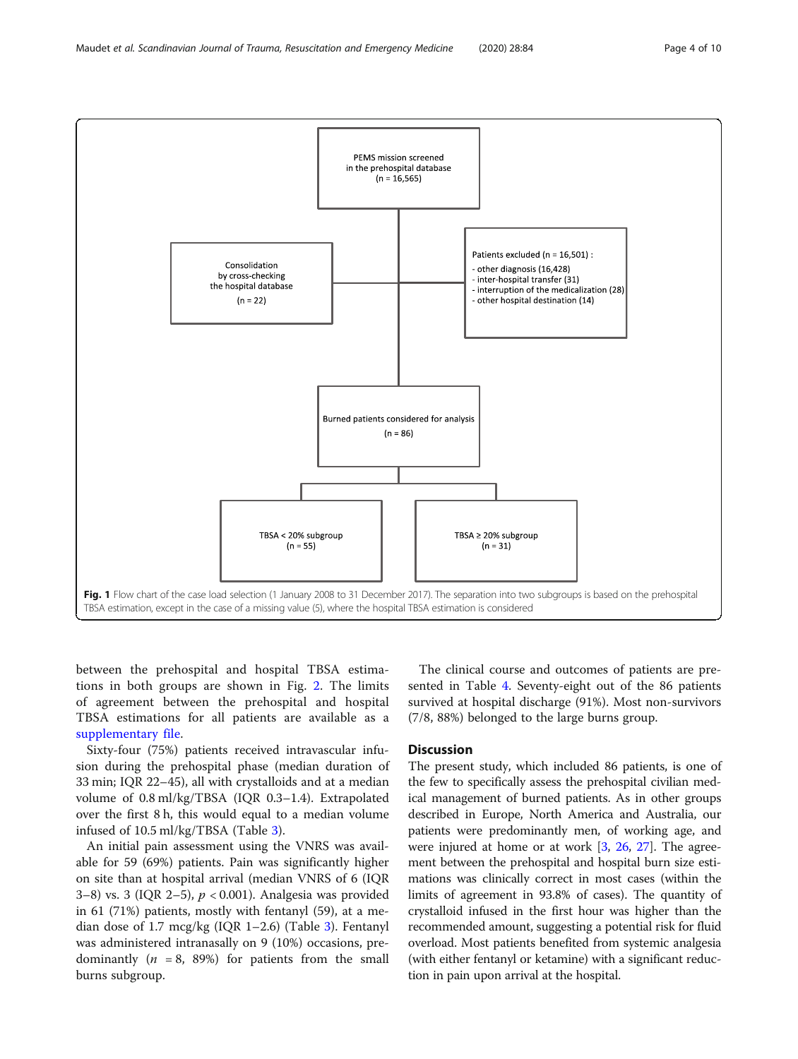<span id="page-3-0"></span>

between the prehospital and hospital TBSA estimations in both groups are shown in Fig. [2.](#page-5-0) The limits of agreement between the prehospital and hospital TBSA estimations for all patients are available as a [supplementary file.](#page-7-0)

Sixty-four (75%) patients received intravascular infusion during the prehospital phase (median duration of 33 min; IQR 22–45), all with crystalloids and at a median volume of 0.8 ml/kg/TBSA (IQR 0.3–1.4). Extrapolated over the first 8 h, this would equal to a median volume infused of 10.5 ml/kg/TBSA (Table [3\)](#page-6-0).

An initial pain assessment using the VNRS was available for 59 (69%) patients. Pain was significantly higher on site than at hospital arrival (median VNRS of 6 (IQR 3–8) vs. 3 (IQR 2–5), p < 0.001). Analgesia was provided in 61 (71%) patients, mostly with fentanyl (59), at a me-dian dose of 1.7 mcg/kg (IQR 1–2.6) (Table [3](#page-6-0)). Fentanyl was administered intranasally on 9 (10%) occasions, predominantly ( $n = 8$ , 89%) for patients from the small burns subgroup.

The clinical course and outcomes of patients are presented in Table [4.](#page-6-0) Seventy-eight out of the 86 patients survived at hospital discharge (91%). Most non-survivors (7/8, 88%) belonged to the large burns group.

#### **Discussion**

The present study, which included 86 patients, is one of the few to specifically assess the prehospital civilian medical management of burned patients. As in other groups described in Europe, North America and Australia, our patients were predominantly men, of working age, and were injured at home or at work  $[3, 26, 27]$  $[3, 26, 27]$  $[3, 26, 27]$  $[3, 26, 27]$  $[3, 26, 27]$  $[3, 26, 27]$ . The agreement between the prehospital and hospital burn size estimations was clinically correct in most cases (within the limits of agreement in 93.8% of cases). The quantity of crystalloid infused in the first hour was higher than the recommended amount, suggesting a potential risk for fluid overload. Most patients benefited from systemic analgesia (with either fentanyl or ketamine) with a significant reduction in pain upon arrival at the hospital.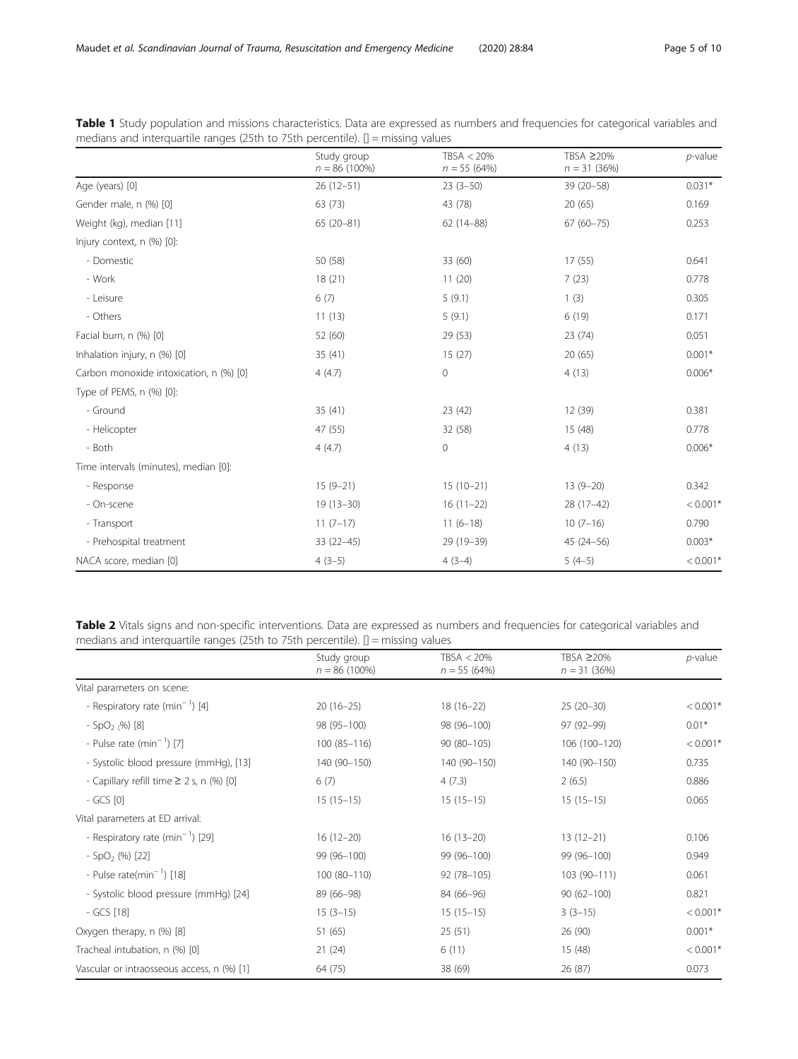<span id="page-4-0"></span>

| Table 1 Study population and missions characteristics. Data are expressed as numbers and frequencies for categorical variables and |  |  |  |  |  |  |
|------------------------------------------------------------------------------------------------------------------------------------|--|--|--|--|--|--|
| medians and interquartile ranges (25th to 75th percentile). $\mathbb{I}$ = missing values                                          |  |  |  |  |  |  |

|                                         | Study group<br>$n = 86(100\%)$ | TBSA < 20%<br>$n = 55(64%)$ | TBSA ≥20%<br>$n = 31 (36%)$ | $p$ -value |
|-----------------------------------------|--------------------------------|-----------------------------|-----------------------------|------------|
| Age (years) [0]                         | $26(12-51)$                    | $23(3-50)$                  | $39(20 - 58)$               | $0.031*$   |
| Gender male, n (%) [0]                  | 63 (73)                        | 43 (78)                     | 20(65)                      | 0.169      |
| Weight (kg), median [11]                | $65(20-81)$                    | $62(14 - 88)$               | $67(60 - 75)$               | 0.253      |
| Injury context, n (%) [0]:              |                                |                             |                             |            |
| - Domestic                              | 50 (58)                        | 33 (60)                     | 17(55)                      | 0.641      |
| - Work                                  | 18(21)                         | 11(20)                      | 7(23)                       | 0.778      |
| - Leisure                               | 6(7)                           | 5(9.1)                      | 1(3)                        | 0.305      |
| - Others                                | 11(13)                         | 5(9.1)                      | 6(19)                       | 0.171      |
| Facial burn, n (%) [0]                  | 52 (60)                        | 29 (53)                     | 23 (74)                     | 0.051      |
| Inhalation injury, n (%) [0]            | 35(41)                         | 15(27)                      | 20(65)                      | $0.001*$   |
| Carbon monoxide intoxication, n (%) [0] | 4(4.7)                         | $\mathbf 0$                 | 4(13)                       | $0.006*$   |
| Type of PEMS, n (%) [0]:                |                                |                             |                             |            |
| - Ground                                | 35(41)                         | 23(42)                      | 12 (39)                     | 0.381      |
| - Helicopter                            | 47 (55)                        | 32 (58)                     | 15 (48)                     | 0.778      |
| - Both                                  | 4(4.7)                         | $\circ$                     | 4(13)                       | $0.006*$   |
| Time intervals (minutes), median [0]:   |                                |                             |                             |            |
| - Response                              | $15(9-21)$                     | $15(10-21)$                 | $13(9-20)$                  | 0.342      |
| - On-scene                              | $19(13 - 30)$                  | $16(11-22)$                 | 28 (17-42)                  | $< 0.001*$ |
| - Transport                             | $11(7-17)$                     | $11(6-18)$                  | $10(7-16)$                  | 0.790      |
| - Prehospital treatment                 | $33(22 - 45)$                  | 29 (19-39)                  | $45(24 - 56)$               | $0.003*$   |
| NACA score, median [0]                  | $4(3-5)$                       | $4(3-4)$                    | $5(4-5)$                    | $< 0.001*$ |

Table 2 Vitals signs and non-specific interventions. Data are expressed as numbers and frequencies for categorical variables and medians and interquartile ranges (25th to 75th percentile). [] = missing values

|                                               | Study group     | TBSA < 20%    | TBSA ≥20%      | $p$ -value |
|-----------------------------------------------|-----------------|---------------|----------------|------------|
|                                               | $n = 86(100\%)$ | $n = 55(64%)$ | $n = 31(36%)$  |            |
| Vital parameters on scene:                    |                 |               |                |            |
| - Respiratory rate $(min^{-1})$ [4]           | $20(16-25)$     | $18(16-22)$   | $25(20-30)$    | $< 0.001*$ |
| - SpO <sub>2</sub> $(%)$ [8]                  | 98 (95-100)     | 98 (96-100)   | 97 (92-99)     | $0.01*$    |
| - Pulse rate $(min^{-1})$ [7]                 | $100(85 - 116)$ | 90 (80-105)   | 106 (100-120)  | $< 0.001*$ |
| - Systolic blood pressure (mmHg), [13]        | 140 (90-150)    | 140 (90-150)  | 140 (90-150)   | 0.735      |
| - Capillary refill time $\geq$ 2 s, n (%) [0] | 6(7)            | 4(7.3)        | 2(6.5)         | 0.886      |
| $-GCS$ [0]                                    | $15(15-15)$     | $15(15-15)$   | $15(15-15)$    | 0.065      |
| Vital parameters at ED arrival:               |                 |               |                |            |
| - Respiratory rate (min <sup>-1</sup> ) [29]  | $16(12-20)$     | $16(13-20)$   | $13(12-21)$    | 0.106      |
| $-$ SpO <sub>2</sub> (%) [22]                 | 99 (96-100)     | 99 (96-100)   | 99 (96-100)    | 0.949      |
| - Pulse rate(min <sup>-1</sup> ) [18]         | $100(80-110)$   | 92 (78-105)   | 103 (90-111)   | 0.061      |
| - Systolic blood pressure (mmHg) [24]         | 89 (66-98)      | 84 (66-96)    | $90(62 - 100)$ | 0.821      |
| - GCS [18]                                    | $15(3-15)$      | $15(15-15)$   | $3(3-15)$      | $< 0.001*$ |
| Oxygen therapy, n (%) [8]                     | 51 (65)         | 25(51)        | 26 (90)        | $0.001*$   |
| Tracheal intubation, n (%) [0]                | 21(24)          | 6(11)         | 15(48)         | $< 0.001*$ |
| Vascular or intraosseous access, n (%) [1]    | 64 (75)         | 38 (69)       | 26 (87)        | 0.073      |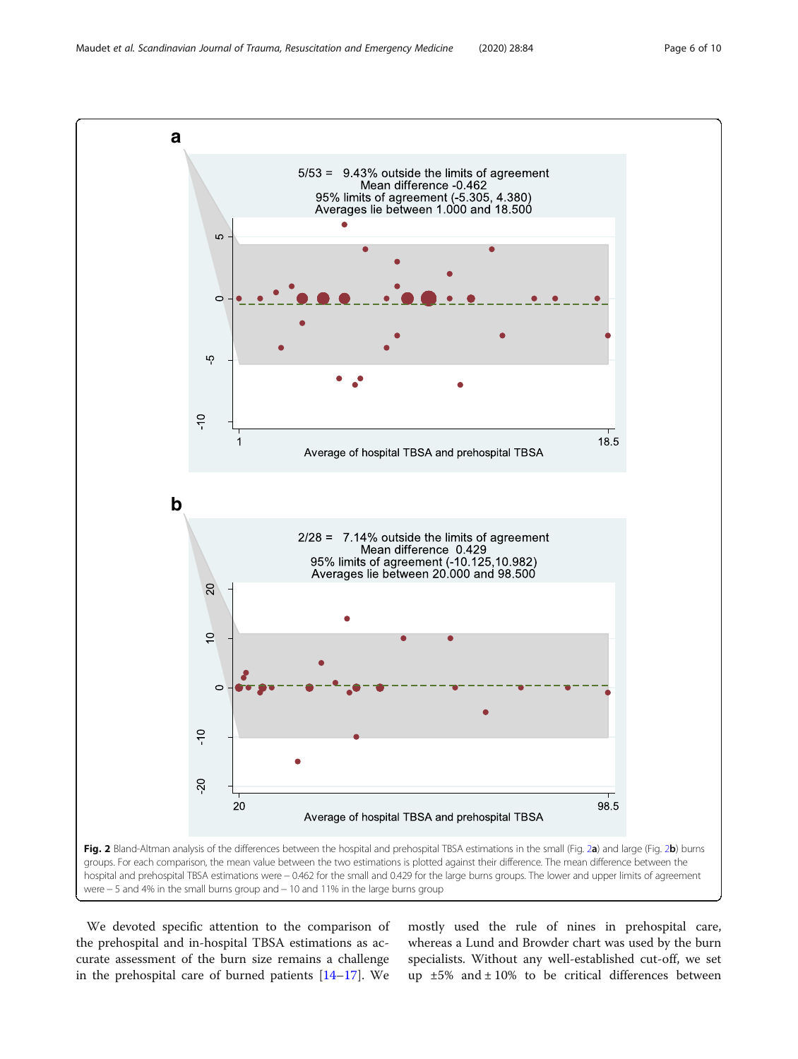<span id="page-5-0"></span>

We devoted specific attention to the comparison of the prehospital and in-hospital TBSA estimations as accurate assessment of the burn size remains a challenge in the prehospital care of burned patients [\[14](#page-8-0)–[17\]](#page-8-0). We mostly used the rule of nines in prehospital care, whereas a Lund and Browder chart was used by the burn specialists. Without any well-established cut-off, we set up  $\pm 5\%$  and  $\pm 10\%$  to be critical differences between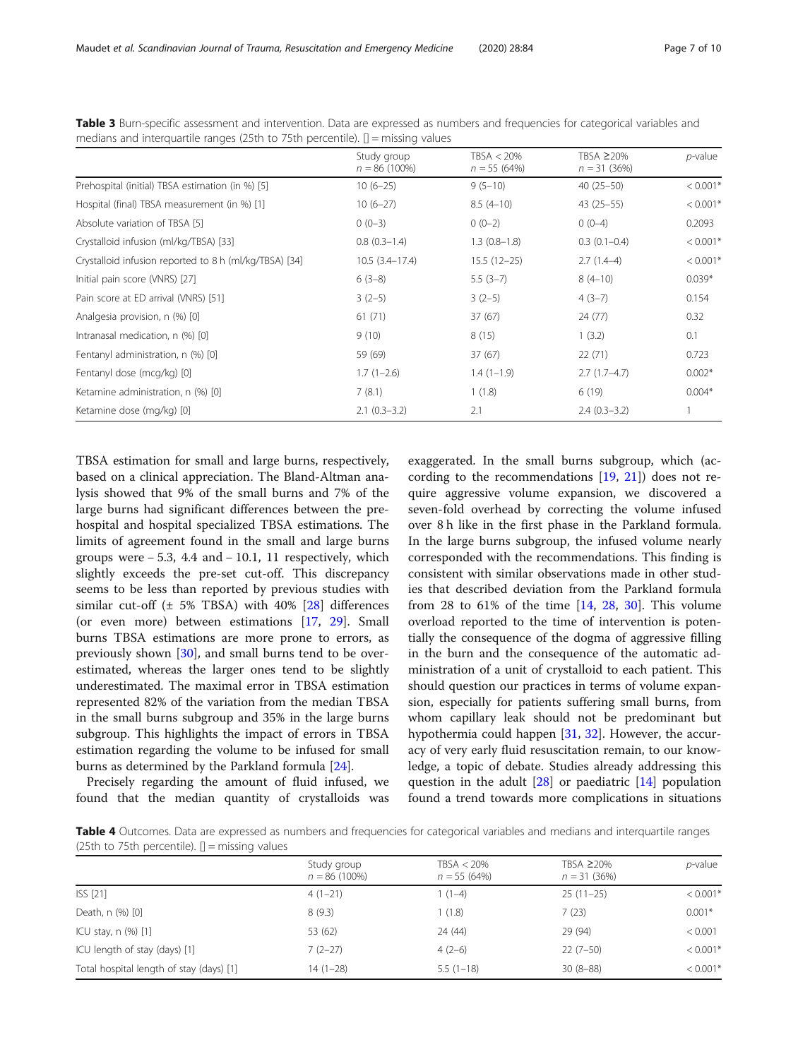|                                                        | Study group<br>$n = 86(100\%)$ | TBSA < 20%<br>$n = 55(64%)$ | TBSA ≥20%<br>$n = 31 (36%)$ | <i>p</i> -value |
|--------------------------------------------------------|--------------------------------|-----------------------------|-----------------------------|-----------------|
| Prehospital (initial) TBSA estimation (in %) [5]       | $10(6-25)$                     | $9(5-10)$                   | $40(25-50)$                 | $< 0.001*$      |
| Hospital (final) TBSA measurement (in %) [1]           | $10(6-27)$                     | $8.5(4-10)$                 | $43(25-55)$                 | $< 0.001*$      |
| Absolute variation of TBSA [5]                         | $0(0-3)$                       | $0(0-2)$                    | $0(0-4)$                    | 0.2093          |
| Crystalloid infusion (ml/kg/TBSA) [33]                 | $0.8(0.3-1.4)$                 | $1.3(0.8-1.8)$              | $0.3(0.1-0.4)$              | $< 0.001*$      |
| Crystalloid infusion reported to 8 h (ml/kg/TBSA) [34] | $10.5(3.4-17.4)$               | $15.5(12-25)$               | $2.7(1.4-4)$                | $< 0.001*$      |
| Initial pain score (VNRS) [27]                         | $6(3-8)$                       | $5.5(3-7)$                  | $8(4-10)$                   | $0.039*$        |
| Pain score at ED arrival (VNRS) [51]                   | $3(2-5)$                       | $3(2-5)$                    | $4(3-7)$                    | 0.154           |
| Analgesia provision, n (%) [0]                         | 61(71)                         | 37(67)                      | 24(77)                      | 0.32            |
| Intranasal medication, n (%) [0]                       | 9(10)                          | 8(15)                       | 1(3.2)                      | 0.1             |
| Fentanyl administration, n (%) [0]                     | 59 (69)                        | 37(67)                      | 22(71)                      | 0.723           |
| Fentanyl dose (mcg/kg) [0]                             | $1.7(1-2.6)$                   | $1.4(1-1.9)$                | $2.7(1.7-4.7)$              | $0.002*$        |
| Ketamine administration, n (%) [0]                     | 7(8.1)                         | 1(1.8)                      | 6(19)                       | $0.004*$        |
| Ketamine dose (mg/kg) [0]                              | $2.1(0.3-3.2)$                 | 2.1                         | $2.4(0.3-3.2)$              |                 |

<span id="page-6-0"></span>Table 3 Burn-specific assessment and intervention. Data are expressed as numbers and frequencies for categorical variables and medians and interquartile ranges (25th to 75th percentile).  $[]$  = missing values

TBSA estimation for small and large burns, respectively, based on a clinical appreciation. The Bland-Altman analysis showed that 9% of the small burns and 7% of the large burns had significant differences between the prehospital and hospital specialized TBSA estimations. The limits of agreement found in the small and large burns groups were  $-5.3$ , 4.4 and  $-10.1$ , 11 respectively, which slightly exceeds the pre-set cut-off. This discrepancy seems to be less than reported by previous studies with similar cut-off ( $\pm$  5% TBSA) with 40% [\[28\]](#page-9-0) differences (or even more) between estimations [[17,](#page-8-0) [29](#page-9-0)]. Small burns TBSA estimations are more prone to errors, as previously shown [[30](#page-9-0)], and small burns tend to be overestimated, whereas the larger ones tend to be slightly underestimated. The maximal error in TBSA estimation represented 82% of the variation from the median TBSA in the small burns subgroup and 35% in the large burns subgroup. This highlights the impact of errors in TBSA estimation regarding the volume to be infused for small burns as determined by the Parkland formula [\[24\]](#page-9-0).

Precisely regarding the amount of fluid infused, we found that the median quantity of crystalloids was exaggerated. In the small burns subgroup, which (according to the recommendations [\[19,](#page-8-0) [21\]](#page-8-0)) does not require aggressive volume expansion, we discovered a seven-fold overhead by correcting the volume infused over 8 h like in the first phase in the Parkland formula. In the large burns subgroup, the infused volume nearly corresponded with the recommendations. This finding is consistent with similar observations made in other studies that described deviation from the Parkland formula from 28 to 61% of the time [\[14](#page-8-0), [28](#page-9-0), [30\]](#page-9-0). This volume overload reported to the time of intervention is potentially the consequence of the dogma of aggressive filling in the burn and the consequence of the automatic administration of a unit of crystalloid to each patient. This should question our practices in terms of volume expansion, especially for patients suffering small burns, from whom capillary leak should not be predominant but hypothermia could happen [[31](#page-9-0), [32\]](#page-9-0). However, the accuracy of very early fluid resuscitation remain, to our knowledge, a topic of debate. Studies already addressing this question in the adult  $[28]$  $[28]$  or paediatric  $[14]$  $[14]$  population found a trend towards more complications in situations

Table 4 Outcomes. Data are expressed as numbers and frequencies for categorical variables and medians and interquartile ranges (25th to 75th percentile).  $[] = missing$  values

|                                          | Study group<br>$n = 86(100\%)$ | $TBSA < 20\%$<br>$n = 55(64%)$ | TBSA ≥20%<br>$n = 31(36%)$ | <i>p</i> -value |
|------------------------------------------|--------------------------------|--------------------------------|----------------------------|-----------------|
| ISS [21]                                 | $4(1-21)$                      | $(1-4)$                        | $25(11-25)$                | $< 0.001*$      |
| Death, n (%) [0]                         | 8(9.3)                         | 1(1.8)                         | 7(23)                      | $0.001*$        |
| ICU stay, $n$ $%$ [1]                    | 53 (62)                        | 24 (44)                        | 29 (94)                    | < 0.001         |
| ICU length of stay (days) [1]            | $7(2-27)$                      | $4(2-6)$                       | $22(7-50)$                 | $< 0.001*$      |
| Total hospital length of stay (days) [1] | 14 (1–28)                      | $5.5(1-18)$                    | $30(8-88)$                 | $< 0.001*$      |
|                                          |                                |                                |                            |                 |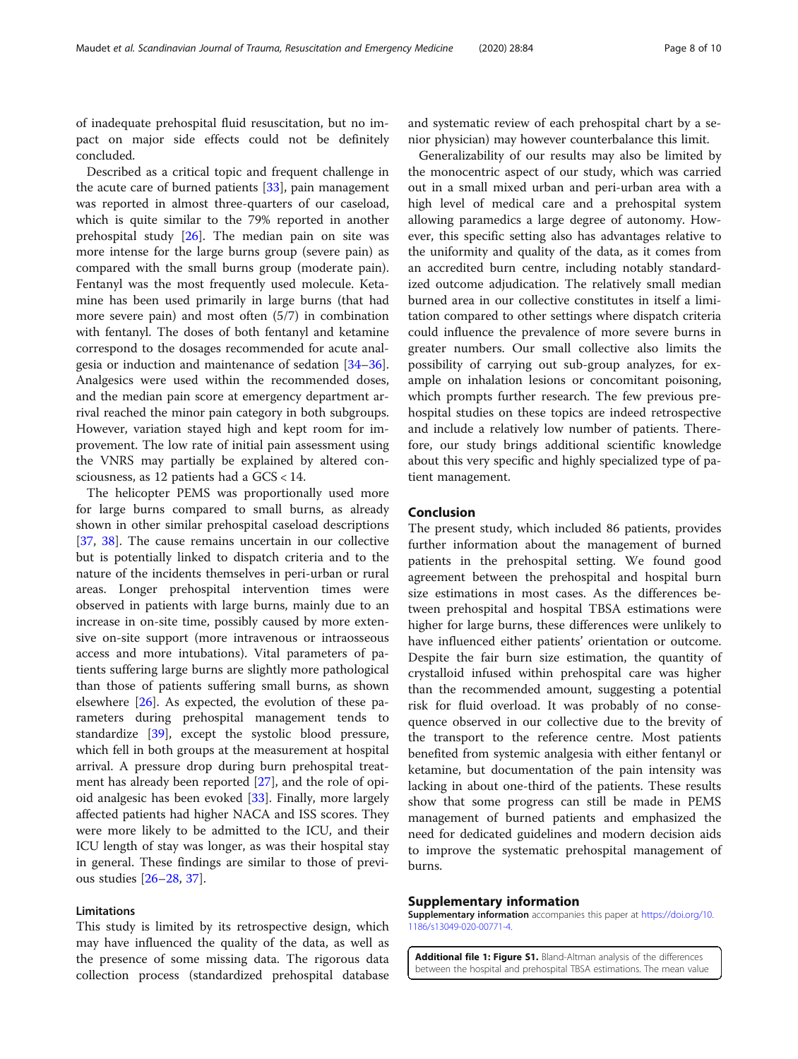<span id="page-7-0"></span>of inadequate prehospital fluid resuscitation, but no impact on major side effects could not be definitely concluded.

Described as a critical topic and frequent challenge in the acute care of burned patients [[33\]](#page-9-0), pain management was reported in almost three-quarters of our caseload, which is quite similar to the 79% reported in another prehospital study [\[26](#page-9-0)]. The median pain on site was more intense for the large burns group (severe pain) as compared with the small burns group (moderate pain). Fentanyl was the most frequently used molecule. Ketamine has been used primarily in large burns (that had more severe pain) and most often (5/7) in combination with fentanyl. The doses of both fentanyl and ketamine correspond to the dosages recommended for acute analgesia or induction and maintenance of sedation [[34](#page-9-0)–[36](#page-9-0)]. Analgesics were used within the recommended doses, and the median pain score at emergency department arrival reached the minor pain category in both subgroups. However, variation stayed high and kept room for improvement. The low rate of initial pain assessment using the VNRS may partially be explained by altered consciousness, as 12 patients had a GCS < 14.

The helicopter PEMS was proportionally used more for large burns compared to small burns, as already shown in other similar prehospital caseload descriptions [[37,](#page-9-0) [38\]](#page-9-0). The cause remains uncertain in our collective but is potentially linked to dispatch criteria and to the nature of the incidents themselves in peri-urban or rural areas. Longer prehospital intervention times were observed in patients with large burns, mainly due to an increase in on-site time, possibly caused by more extensive on-site support (more intravenous or intraosseous access and more intubations). Vital parameters of patients suffering large burns are slightly more pathological than those of patients suffering small burns, as shown elsewhere [[26\]](#page-9-0). As expected, the evolution of these parameters during prehospital management tends to standardize [\[39\]](#page-9-0), except the systolic blood pressure, which fell in both groups at the measurement at hospital arrival. A pressure drop during burn prehospital treatment has already been reported [[27](#page-9-0)], and the role of opioid analgesic has been evoked [[33\]](#page-9-0). Finally, more largely affected patients had higher NACA and ISS scores. They were more likely to be admitted to the ICU, and their ICU length of stay was longer, as was their hospital stay in general. These findings are similar to those of previous studies [\[26](#page-9-0)–[28,](#page-9-0) [37\]](#page-9-0).

#### Limitations

This study is limited by its retrospective design, which may have influenced the quality of the data, as well as the presence of some missing data. The rigorous data collection process (standardized prehospital database

and systematic review of each prehospital chart by a senior physician) may however counterbalance this limit.

Generalizability of our results may also be limited by the monocentric aspect of our study, which was carried out in a small mixed urban and peri-urban area with a high level of medical care and a prehospital system allowing paramedics a large degree of autonomy. However, this specific setting also has advantages relative to the uniformity and quality of the data, as it comes from an accredited burn centre, including notably standardized outcome adjudication. The relatively small median burned area in our collective constitutes in itself a limitation compared to other settings where dispatch criteria could influence the prevalence of more severe burns in greater numbers. Our small collective also limits the possibility of carrying out sub-group analyzes, for example on inhalation lesions or concomitant poisoning, which prompts further research. The few previous prehospital studies on these topics are indeed retrospective and include a relatively low number of patients. Therefore, our study brings additional scientific knowledge about this very specific and highly specialized type of patient management.

#### Conclusion

The present study, which included 86 patients, provides further information about the management of burned patients in the prehospital setting. We found good agreement between the prehospital and hospital burn size estimations in most cases. As the differences between prehospital and hospital TBSA estimations were higher for large burns, these differences were unlikely to have influenced either patients' orientation or outcome. Despite the fair burn size estimation, the quantity of crystalloid infused within prehospital care was higher than the recommended amount, suggesting a potential risk for fluid overload. It was probably of no consequence observed in our collective due to the brevity of the transport to the reference centre. Most patients benefited from systemic analgesia with either fentanyl or ketamine, but documentation of the pain intensity was lacking in about one-third of the patients. These results show that some progress can still be made in PEMS management of burned patients and emphasized the need for dedicated guidelines and modern decision aids to improve the systematic prehospital management of burns.

#### Supplementary information

Supplementary information accompanies this paper at [https://doi.org/10.](https://doi.org/10.1186/s13049-020-00771-4) [1186/s13049-020-00771-4](https://doi.org/10.1186/s13049-020-00771-4).

Additional file 1: Figure S1. Bland-Altman analysis of the differences between the hospital and prehospital TBSA estimations. The mean value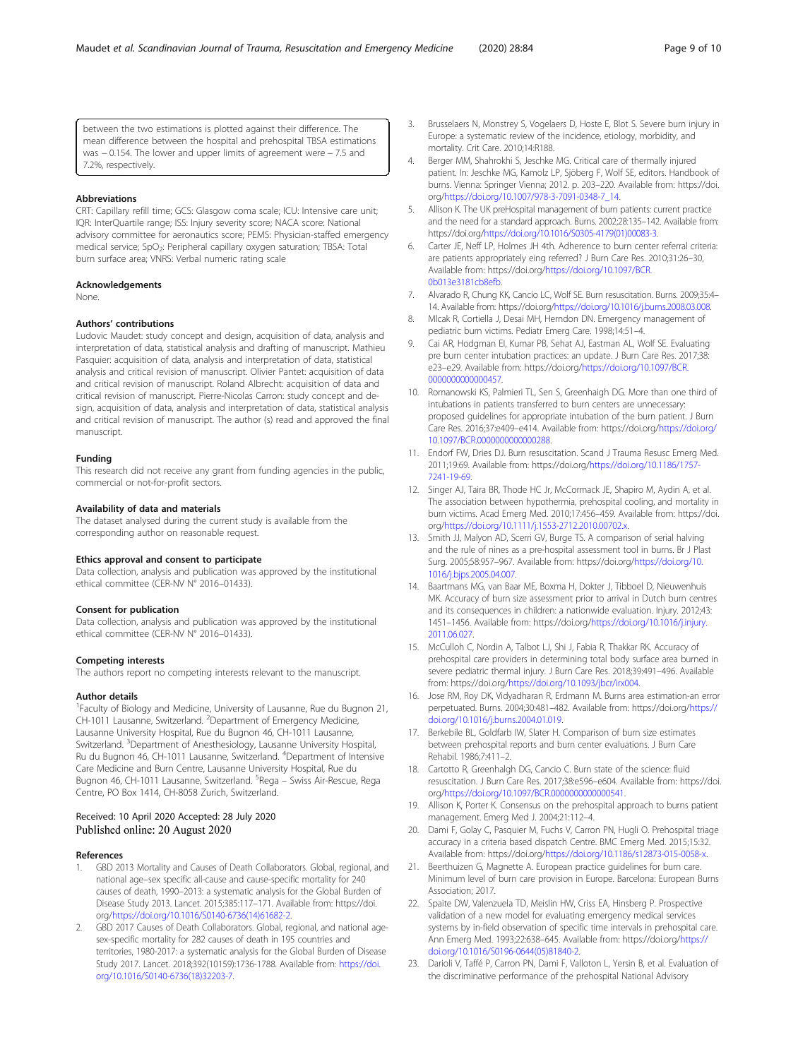<span id="page-8-0"></span>between the two estimations is plotted against their difference. The mean difference between the hospital and prehospital TBSA estimations was − 0.154. The lower and upper limits of agreement were − 7.5 and 7.2%, respectively.

#### Abbreviations

CRT: Capillary refill time; GCS: Glasgow coma scale; ICU: Intensive care unit; IQR: InterQuartile range; ISS: Injury severity score; NACA score: National advisory committee for aeronautics score; PEMS: Physician-staffed emergency medical service; SpO<sub>2</sub>: Peripheral capillary oxygen saturation; TBSA: Total burn surface area; VNRS: Verbal numeric rating scale

#### Acknowledgements

None.

#### Authors' contributions

Ludovic Maudet: study concept and design, acquisition of data, analysis and interpretation of data, statistical analysis and drafting of manuscript. Mathieu Pasquier: acquisition of data, analysis and interpretation of data, statistical analysis and critical revision of manuscript. Olivier Pantet: acquisition of data and critical revision of manuscript. Roland Albrecht: acquisition of data and critical revision of manuscript. Pierre-Nicolas Carron: study concept and design, acquisition of data, analysis and interpretation of data, statistical analysis and critical revision of manuscript. The author (s) read and approved the final manuscript.

#### Funding

This research did not receive any grant from funding agencies in the public, commercial or not-for-profit sectors.

#### Availability of data and materials

The dataset analysed during the current study is available from the corresponding author on reasonable request.

#### Ethics approval and consent to participate

Data collection, analysis and publication was approved by the institutional ethical committee (CER-NV N° 2016–01433).

#### Consent for publication

Data collection, analysis and publication was approved by the institutional ethical committee (CER-NV N° 2016–01433).

#### Competing interests

The authors report no competing interests relevant to the manuscript.

#### Author details

<sup>1</sup> Faculty of Biology and Medicine, University of Lausanne, Rue du Bugnon 21, CH-1011 Lausanne, Switzerland. <sup>2</sup>Department of Emergency Medicine, Lausanne University Hospital, Rue du Bugnon 46, CH-1011 Lausanne, Switzerland. <sup>3</sup>Department of Anesthesiology, Lausanne University Hospital, Ru du Bugnon 46, CH-1011 Lausanne, Switzerland. <sup>4</sup>Department of Intensive Care Medicine and Burn Centre, Lausanne University Hospital, Rue du Bugnon 46, CH-1011 Lausanne, Switzerland. <sup>5</sup>Rega – Swiss Air-Rescue, Rega Centre, PO Box 1414, CH-8058 Zurich, Switzerland.

#### Received: 10 April 2020 Accepted: 28 July 2020 Published online: 20 August 2020

#### References

- GBD 2013 Mortality and Causes of Death Collaborators. Global, regional, and national age–sex specific all-cause and cause-specific mortality for 240 causes of death, 1990–2013: a systematic analysis for the Global Burden of Disease Study 2013. Lancet. 2015;385:117–171. Available from: https://doi. org/[https://doi.org/10.1016/S0140-6736\(14\)61682-2.](https://doi.org/10.1016/S0140-6736(14)61682-2)
- GBD 2017 Causes of Death Collaborators. Global, regional, and national agesex-specific mortality for 282 causes of death in 195 countries and territories, 1980-2017: a systematic analysis for the Global Burden of Disease Study 2017. Lancet. 2018;392(10159):1736-1788. Available from: [https://doi.](https://doi.org/10.1016/S0140-6736(18)32203-7) [org/10.1016/S0140-6736\(18\)32203-7.](https://doi.org/10.1016/S0140-6736(18)32203-7)
- 3. Brusselaers N, Monstrey S, Vogelaers D, Hoste E, Blot S. Severe burn injury in Europe: a systematic review of the incidence, etiology, morbidity, and mortality. Crit Care. 2010;14:R188.
- 4. Berger MM, Shahrokhi S, Jeschke MG. Critical care of thermally injured patient. In: Jeschke MG, Kamolz LP, Sjöberg F, Wolf SE, editors. Handbook of burns. Vienna: Springer Vienna; 2012. p. 203–220. Available from: https://doi. org/[https://doi.org/10.1007/978-3-7091-0348-7\\_14](https://doi.org/10.1007/978-3-7091-0348-7_14).
- 5. Allison K. The UK preHospital management of burn patients: current practice and the need for a standard approach. Burns. 2002;28:135–142. Available from: https://doi.org[/https://doi.org/10.1016/S0305-4179\(01\)00083-3](https://doi.org/10.1016/S0305-4179(01)00083-3).
- Carter JE, Neff LP, Holmes JH 4th. Adherence to burn center referral criteria: are patients appropriately eing referred? J Burn Care Res. 2010;31:26–30, Available from: https://doi.org[/https://doi.org/10.1097/BCR.](https://doi.org/10.1097/BCR.0b013e3181cb8efb) [0b013e3181cb8efb.](https://doi.org/10.1097/BCR.0b013e3181cb8efb)
- 7. Alvarado R, Chung KK, Cancio LC, Wolf SE. Burn resuscitation. Burns. 2009;35:4– 14. Available from: https://doi.org/<https://doi.org/10.1016/j.burns.2008.03.008>.
- 8. Mlcak R, Cortiella J, Desai MH, Herndon DN. Emergency management of pediatric burn victims. Pediatr Emerg Care. 1998;14:51–4.
- 9. Cai AR, Hodgman EI, Kumar PB, Sehat AJ, Eastman AL, Wolf SE. Evaluating pre burn center intubation practices: an update. J Burn Care Res. 2017;38: e23–e29. Available from: https://doi.org/[https://doi.org/10.1097/BCR.](https://doi.org/10.1097/BCR.0000000000000457) 000000000000457
- 10. Romanowski KS, Palmieri TL, Sen S, Greenhaigh DG. More than one third of intubations in patients transferred to burn centers are unnecessary: proposed guidelines for appropriate intubation of the burn patient. J Burn Care Res. 2016;37:e409–e414. Available from: https://doi.org/[https://doi.org/](https://doi.org/10.1097/BCR.0000000000000288) [10.1097/BCR.0000000000000288.](https://doi.org/10.1097/BCR.0000000000000288)
- 11. Endorf FW, Dries DJ. Burn resuscitation. Scand J Trauma Resusc Emerg Med. 2011;19:69. Available from: https://doi.org[/https://doi.org/10.1186/1757-](https://doi.org/10.1186/1757-7241-19-69) [7241-19-69](https://doi.org/10.1186/1757-7241-19-69).
- 12. Singer AJ, Taira BR, Thode HC Jr, McCormack JE, Shapiro M, Aydin A, et al. The association between hypothermia, prehospital cooling, and mortality in burn victims. Acad Emerg Med. 2010;17:456–459. Available from: https://doi. org/<https://doi.org/10.1111/j.1553-2712.2010.00702.x>.
- 13. Smith JJ, Malyon AD, Scerri GV, Burge TS. A comparison of serial halving and the rule of nines as a pre-hospital assessment tool in burns. Br J Plast Surg. 2005;58:957–967. Available from: https://doi.org/[https://doi.org/10.](https://doi.org/10.1016/j.bjps.2005.04.007) [1016/j.bjps.2005.04.007.](https://doi.org/10.1016/j.bjps.2005.04.007)
- 14. Baartmans MG, van Baar ME, Boxma H, Dokter J, Tibboel D, Nieuwenhuis MK. Accuracy of burn size assessment prior to arrival in Dutch burn centres and its consequences in children: a nationwide evaluation. Injury. 2012;43: 1451–1456. Available from: https://doi.org[/https://doi.org/10.1016/j.injury.](https://doi.org/10.1016/j.injury.2011.06.027) [2011.06.027.](https://doi.org/10.1016/j.injury.2011.06.027)
- 15. McCulloh C, Nordin A, Talbot LJ, Shi J, Fabia R, Thakkar RK. Accuracy of prehospital care providers in determining total body surface area burned in severe pediatric thermal injury. J Burn Care Res. 2018;39:491–496. Available from: https://doi.org/[https://doi.org/10.1093/jbcr/irx004.](https://doi.org/10.1093/jbcr/irx004)
- 16. Jose RM, Roy DK, Vidyadharan R, Erdmann M. Burns area estimation-an error perpetuated. Burns. 2004;30:481–482. Available from: https://doi.org/[https://](https://doi.org/10.1016/j.burns.2004.01.019) [doi.org/10.1016/j.burns.2004.01.019](https://doi.org/10.1016/j.burns.2004.01.019).
- 17. Berkebile BL, Goldfarb IW, Slater H. Comparison of burn size estimates between prehospital reports and burn center evaluations. J Burn Care Rehabil. 1986;7:411–2.
- 18. Cartotto R, Greenhalgh DG, Cancio C. Burn state of the science: fluid resuscitation. J Burn Care Res. 2017;38:e596–e604. Available from: https://doi. org/<https://doi.org/10.1097/BCR.0000000000000541>.
- 19. Allison K, Porter K. Consensus on the prehospital approach to burns patient management. Emerg Med J. 2004;21:112–4.
- 20. Dami F, Golay C, Pasquier M, Fuchs V, Carron PN, Hugli O. Prehospital triage accuracy in a criteria based dispatch Centre. BMC Emerg Med. 2015;15:32. Available from: https://doi.org[/https://doi.org/10.1186/s12873-015-0058-x](https://doi.org/10.1186/s12873-015-0058-x).
- 21. Beerthuizen G, Magnette A. European practice guidelines for burn care. Minimum level of burn care provision in Europe. Barcelona: European Burns Association; 2017.
- 22. Spaite DW, Valenzuela TD, Meislin HW, Criss EA, Hinsberg P. Prospective validation of a new model for evaluating emergency medical services systems by in-field observation of specific time intervals in prehospital care. Ann Emerg Med. 1993;22:638–645. Available from: https://doi.org/[https://](https://doi.org/10.1016/S0196-0644(05)81840-2) [doi.org/10.1016/S0196-0644\(05\)81840-2](https://doi.org/10.1016/S0196-0644(05)81840-2).
- 23. Darioli V, Taffé P, Carron PN, Dami F, Valloton L, Yersin B, et al. Evaluation of the discriminative performance of the prehospital National Advisory